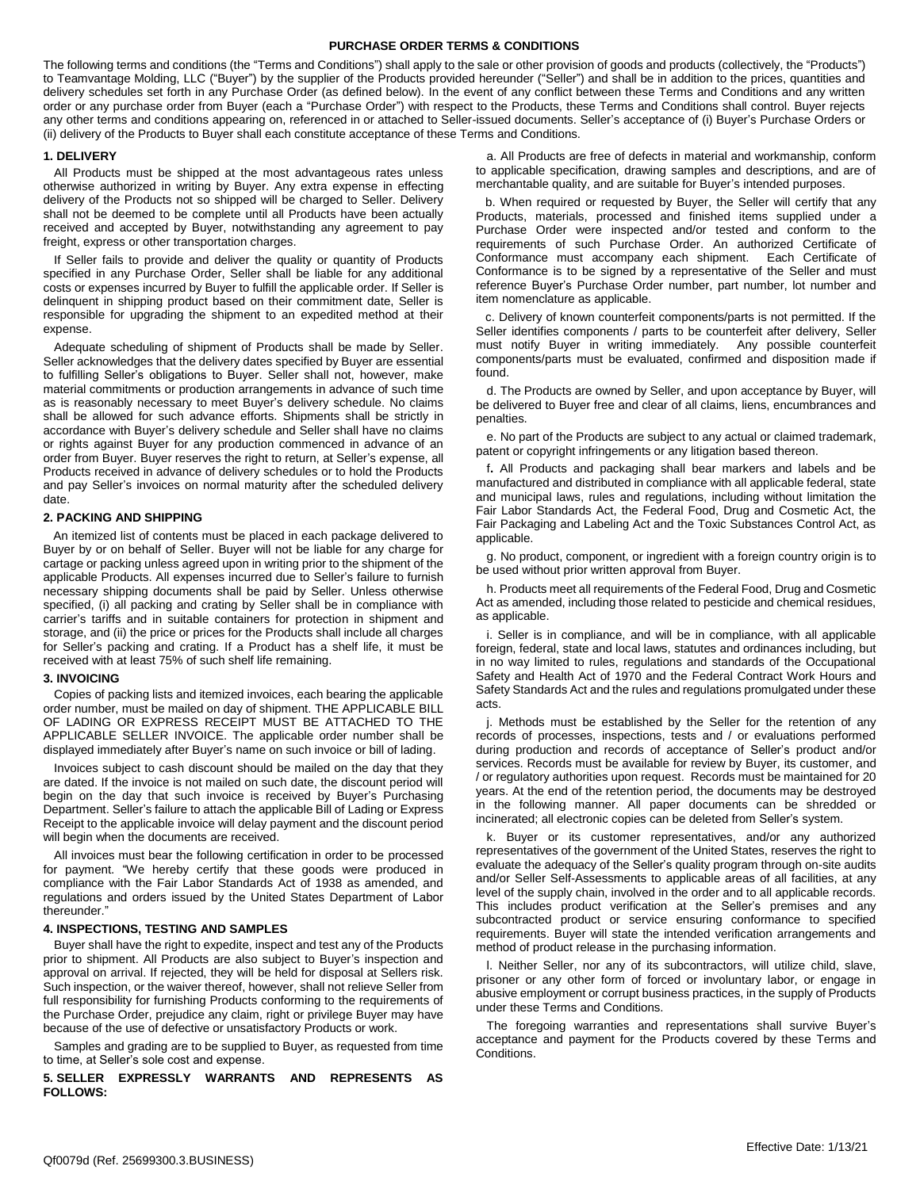### **PURCHASE ORDER TERMS & CONDITIONS**

The following terms and conditions (the "Terms and Conditions") shall apply to the sale or other provision of goods and products (collectively, the "Products") to Teamvantage Molding, LLC ("Buyer") by the supplier of the Products provided hereunder ("Seller") and shall be in addition to the prices, quantities and delivery schedules set forth in any Purchase Order (as defined below). In the event of any conflict between these Terms and Conditions and any written order or any purchase order from Buyer (each a "Purchase Order") with respect to the Products, these Terms and Conditions shall control. Buyer rejects any other terms and conditions appearing on, referenced in or attached to Seller-issued documents. Seller's acceptance of (i) Buyer's Purchase Orders or (ii) delivery of the Products to Buyer shall each constitute acceptance of these Terms and Conditions.

#### **1. DELIVERY**

All Products must be shipped at the most advantageous rates unless otherwise authorized in writing by Buyer. Any extra expense in effecting delivery of the Products not so shipped will be charged to Seller. Delivery shall not be deemed to be complete until all Products have been actually received and accepted by Buyer, notwithstanding any agreement to pay freight, express or other transportation charges.

If Seller fails to provide and deliver the quality or quantity of Products specified in any Purchase Order, Seller shall be liable for any additional costs or expenses incurred by Buyer to fulfill the applicable order. If Seller is delinquent in shipping product based on their commitment date, Seller is responsible for upgrading the shipment to an expedited method at their expense.

Adequate scheduling of shipment of Products shall be made by Seller. Seller acknowledges that the delivery dates specified by Buyer are essential to fulfilling Seller's obligations to Buyer. Seller shall not, however, make material commitments or production arrangements in advance of such time as is reasonably necessary to meet Buyer's delivery schedule. No claims shall be allowed for such advance efforts. Shipments shall be strictly in accordance with Buyer's delivery schedule and Seller shall have no claims or rights against Buyer for any production commenced in advance of an order from Buyer. Buyer reserves the right to return, at Seller's expense, all Products received in advance of delivery schedules or to hold the Products and pay Seller's invoices on normal maturity after the scheduled delivery date.

#### **2. PACKING AND SHIPPING**

 An itemized list of contents must be placed in each package delivered to Buyer by or on behalf of Seller. Buyer will not be liable for any charge for cartage or packing unless agreed upon in writing prior to the shipment of the applicable Products. All expenses incurred due to Seller's failure to furnish necessary shipping documents shall be paid by Seller. Unless otherwise specified, (i) all packing and crating by Seller shall be in compliance with carrier's tariffs and in suitable containers for protection in shipment and storage, and (ii) the price or prices for the Products shall include all charges for Seller's packing and crating. If a Product has a shelf life, it must be received with at least 75% of such shelf life remaining.

#### **3. INVOICING**

Copies of packing lists and itemized invoices, each bearing the applicable order number, must be mailed on day of shipment. THE APPLICABLE BILL OF LADING OR EXPRESS RECEIPT MUST BE ATTACHED TO THE APPLICABLE SELLER INVOICE. The applicable order number shall be displayed immediately after Buyer's name on such invoice or bill of lading.

Invoices subject to cash discount should be mailed on the day that they are dated. If the invoice is not mailed on such date, the discount period will begin on the day that such invoice is received by Buyer's Purchasing Department. Seller's failure to attach the applicable Bill of Lading or Express Receipt to the applicable invoice will delay payment and the discount period will begin when the documents are received.

All invoices must bear the following certification in order to be processed for payment. "We hereby certify that these goods were produced in compliance with the Fair Labor Standards Act of 1938 as amended, and regulations and orders issued by the United States Department of Labor thereunder."

## **4. INSPECTIONS, TESTING AND SAMPLES**

Buyer shall have the right to expedite, inspect and test any of the Products prior to shipment. All Products are also subject to Buyer's inspection and approval on arrival. If rejected, they will be held for disposal at Sellers risk. Such inspection, or the waiver thereof, however, shall not relieve Seller from full responsibility for furnishing Products conforming to the requirements of the Purchase Order, prejudice any claim, right or privilege Buyer may have because of the use of defective or unsatisfactory Products or work.

Samples and grading are to be supplied to Buyer, as requested from time to time, at Seller's sole cost and expense.

**5. SELLER EXPRESSLY WARRANTS AND REPRESENTS AS FOLLOWS:**

a. All Products are free of defects in material and workmanship, conform to applicable specification, drawing samples and descriptions, and are of merchantable quality, and are suitable for Buyer's intended purposes.

b. When required or requested by Buyer, the Seller will certify that any Products, materials, processed and finished items supplied under a Purchase Order were inspected and/or tested and conform to the requirements of such Purchase Order. An authorized Certificate of Conformance must accompany each shipment. Each Certificate of Conformance is to be signed by a representative of the Seller and must reference Buyer's Purchase Order number, part number, lot number and item nomenclature as applicable.

c. Delivery of known counterfeit components/parts is not permitted. If the Seller identifies components / parts to be counterfeit after delivery, Seller must notify Buyer in writing immediately. Any possible counterfeit components/parts must be evaluated, confirmed and disposition made if found.

d. The Products are owned by Seller, and upon acceptance by Buyer, will be delivered to Buyer free and clear of all claims, liens, encumbrances and penalties.

e. No part of the Products are subject to any actual or claimed trademark, patent or copyright infringements or any litigation based thereon.

f**.** All Products and packaging shall bear markers and labels and be manufactured and distributed in compliance with all applicable federal, state and municipal laws, rules and regulations, including without limitation the Fair Labor Standards Act, the Federal Food, Drug and Cosmetic Act, the Fair Packaging and Labeling Act and the Toxic Substances Control Act, as applicable.

g. No product, component, or ingredient with a foreign country origin is to be used without prior written approval from Buyer.

h. Products meet all requirements of the Federal Food, Drug and Cosmetic Act as amended, including those related to pesticide and chemical residues, as applicable.

i. Seller is in compliance, and will be in compliance, with all applicable foreign, federal, state and local laws, statutes and ordinances including, but in no way limited to rules, regulations and standards of the Occupational Safety and Health Act of 1970 and the Federal Contract Work Hours and Safety Standards Act and the rules and regulations promulgated under these acts.

j. Methods must be established by the Seller for the retention of any records of processes, inspections, tests and / or evaluations performed during production and records of acceptance of Seller's product and/or services. Records must be available for review by Buyer, its customer, and / or regulatory authorities upon request. Records must be maintained for 20 years. At the end of the retention period, the documents may be destroyed in the following manner. All paper documents can be shredded or incinerated; all electronic copies can be deleted from Seller's system.

k. Buyer or its customer representatives, and/or any authorized representatives of the government of the United States, reserves the right to evaluate the adequacy of the Seller's quality program through on-site audits and/or Seller Self-Assessments to applicable areas of all facilities, at any level of the supply chain, involved in the order and to all applicable records. This includes product verification at the Seller's premises and any subcontracted product or service ensuring conformance to specified requirements. Buyer will state the intended verification arrangements and method of product release in the purchasing information.

l. Neither Seller, nor any of its subcontractors, will utilize child, slave, prisoner or any other form of forced or involuntary labor, or engage in abusive employment or corrupt business practices, in the supply of Products under these Terms and Conditions.

The foregoing warranties and representations shall survive Buyer's acceptance and payment for the Products covered by these Terms and Conditions.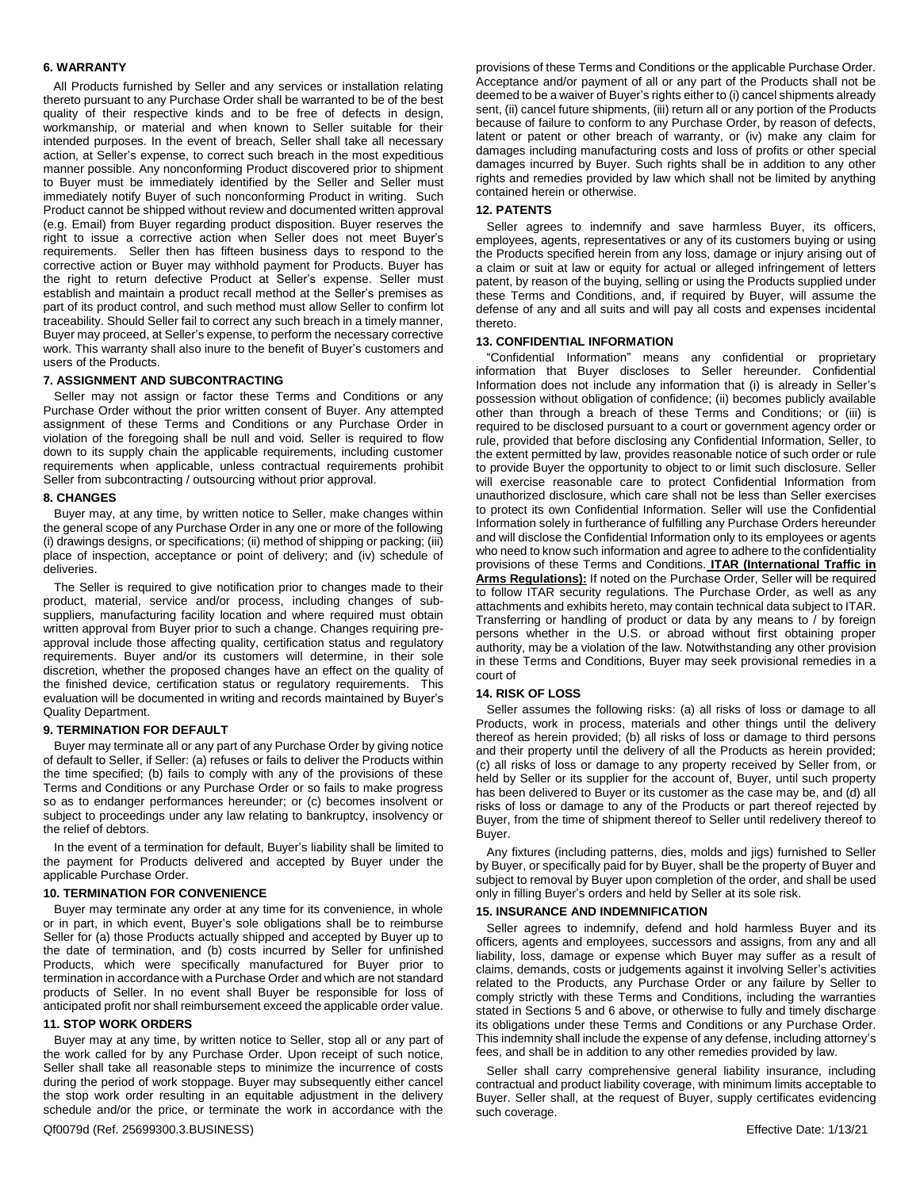### **6. WARRANTY**

 All Products furnished by Seller and any services or installation relating thereto pursuant to any Purchase Order shall be warranted to be of the best quality of their respective kinds and to be free of defects in design, workmanship, or material and when known to Seller suitable for their intended purposes. In the event of breach, Seller shall take all necessary action, at Seller's expense, to correct such breach in the most expeditious manner possible. Any nonconforming Product discovered prior to shipment to Buyer must be immediately identified by the Seller and Seller must immediately notify Buyer of such nonconforming Product in writing. Such Product cannot be shipped without review and documented written approval (e.g. Email) from Buyer regarding product disposition. Buyer reserves the right to issue a corrective action when Seller does not meet Buyer's requirements. Seller then has fifteen business days to respond to the corrective action or Buyer may withhold payment for Products. Buyer has the right to return defective Product at Seller's expense. Seller must establish and maintain a product recall method at the Seller's premises as part of its product control, and such method must allow Seller to confirm lot traceability. Should Seller fail to correct any such breach in a timely manner, Buyer may proceed, at Seller's expense, to perform the necessary corrective work. This warranty shall also inure to the benefit of Buyer's customers and users of the Products.

#### **7. ASSIGNMENT AND SUBCONTRACTING**

Seller may not assign or factor these Terms and Conditions or any Purchase Order without the prior written consent of Buyer. Any attempted assignment of these Terms and Conditions or any Purchase Order in violation of the foregoing shall be null and void. Seller is required to flow down to its supply chain the applicable requirements, including customer requirements when applicable, unless contractual requirements prohibit Seller from subcontracting / outsourcing without prior approval.

#### **8. CHANGES**

Buyer may, at any time, by written notice to Seller, make changes within the general scope of any Purchase Order in any one or more of the following (i) drawings designs, or specifications; (ii) method of shipping or packing; (iii) place of inspection, acceptance or point of delivery; and (iv) schedule of deliveries.

The Seller is required to give notification prior to changes made to their product, material, service and/or process, including changes of subsuppliers, manufacturing facility location and where required must obtain written approval from Buyer prior to such a change. Changes requiring preapproval include those affecting quality, certification status and regulatory requirements. Buyer and/or its customers will determine, in their sole discretion, whether the proposed changes have an effect on the quality of the finished device, certification status or regulatory requirements. This evaluation will be documented in writing and records maintained by Buyer's Quality Department.

#### **9. TERMINATION FOR DEFAULT**

Buyer may terminate all or any part of any Purchase Order by giving notice of default to Seller, if Seller: (a) refuses or fails to deliver the Products within the time specified; (b) fails to comply with any of the provisions of these Terms and Conditions or any Purchase Order or so fails to make progress so as to endanger performances hereunder; or (c) becomes insolvent or subject to proceedings under any law relating to bankruptcy, insolvency or the relief of debtors.

In the event of a termination for default, Buyer's liability shall be limited to the payment for Products delivered and accepted by Buyer under the applicable Purchase Order.

#### **10. TERMINATION FOR CONVENIENCE**

Buyer may terminate any order at any time for its convenience, in whole or in part, in which event, Buyer's sole obligations shall be to reimburse Seller for (a) those Products actually shipped and accepted by Buyer up to the date of termination, and (b) costs incurred by Seller for unfinished Products, which were specifically manufactured for Buyer prior to termination in accordance with a Purchase Order and which are not standard products of Seller. In no event shall Buyer be responsible for loss of anticipated profit nor shall reimbursement exceed the applicable order value.

## **11. STOP WORK ORDERS**

Buyer may at any time, by written notice to Seller, stop all or any part of the work called for by any Purchase Order. Upon receipt of such notice, Seller shall take all reasonable steps to minimize the incurrence of costs during the period of work stoppage. Buyer may subsequently either cancel the stop work order resulting in an equitable adjustment in the delivery schedule and/or the price, or terminate the work in accordance with the

provisions of these Terms and Conditions or the applicable Purchase Order. Acceptance and/or payment of all or any part of the Products shall not be deemed to be a waiver of Buyer's rights either to (i) cancel shipments already sent, (ii) cancel future shipments, (iii) return all or any portion of the Products because of failure to conform to any Purchase Order, by reason of defects, latent or patent or other breach of warranty, or (iv) make any claim for damages including manufacturing costs and loss of profits or other special damages incurred by Buyer. Such rights shall be in addition to any other rights and remedies provided by law which shall not be limited by anything contained herein or otherwise.

#### **12. PATENTS**

Seller agrees to indemnify and save harmless Buyer, its officers, employees, agents, representatives or any of its customers buying or using the Products specified herein from any loss, damage or injury arising out of a claim or suit at law or equity for actual or alleged infringement of letters patent, by reason of the buying, selling or using the Products supplied under these Terms and Conditions, and, if required by Buyer, will assume the defense of any and all suits and will pay all costs and expenses incidental thereto.

#### **13. CONFIDENTIAL INFORMATION**

"Confidential Information" means any confidential or proprietary information that Buyer discloses to Seller hereunder. Confidential Information does not include any information that (i) is already in Seller's possession without obligation of confidence; (ii) becomes publicly available other than through a breach of these Terms and Conditions; or (iii) is required to be disclosed pursuant to a court or government agency order or rule, provided that before disclosing any Confidential Information, Seller, to the extent permitted by law, provides reasonable notice of such order or rule to provide Buyer the opportunity to object to or limit such disclosure. Seller will exercise reasonable care to protect Confidential Information from unauthorized disclosure, which care shall not be less than Seller exercises to protect its own Confidential Information. Seller will use the Confidential Information solely in furtherance of fulfilling any Purchase Orders hereunder and will disclose the Confidential Information only to its employees or agents who need to know such information and agree to adhere to the confidentiality provisions of these Terms and Conditions. **ITAR (International Traffic in Arms Regulations):** If noted on the Purchase Order, Seller will be required to follow ITAR security regulations. The Purchase Order, as well as any attachments and exhibits hereto, may contain technical data subject to ITAR. Transferring or handling of product or data by any means to / by foreign persons whether in the U.S. or abroad without first obtaining proper authority, may be a violation of the law. Notwithstanding any other provision in these Terms and Conditions, Buyer may seek provisional remedies in a court of

#### **14. RISK OF LOSS**

Seller assumes the following risks: (a) all risks of loss or damage to all Products, work in process, materials and other things until the delivery thereof as herein provided; (b) all risks of loss or damage to third persons and their property until the delivery of all the Products as herein provided; (c) all risks of loss or damage to any property received by Seller from, or held by Seller or its supplier for the account of, Buyer, until such property has been delivered to Buyer or its customer as the case may be, and (d) all risks of loss or damage to any of the Products or part thereof rejected by Buyer, from the time of shipment thereof to Seller until redelivery thereof to Buyer.

Any fixtures (including patterns, dies, molds and jigs) furnished to Seller by Buyer, or specifically paid for by Buyer, shall be the property of Buyer and subject to removal by Buyer upon completion of the order, and shall be used only in filling Buyer's orders and held by Seller at its sole risk.

#### **15. INSURANCE AND INDEMNIFICATION**

Seller agrees to indemnify, defend and hold harmless Buyer and its officers, agents and employees, successors and assigns, from any and all liability, loss, damage or expense which Buyer may suffer as a result of claims, demands, costs or judgements against it involving Seller's activities related to the Products, any Purchase Order or any failure by Seller to comply strictly with these Terms and Conditions, including the warranties stated in Sections 5 and 6 above, or otherwise to fully and timely discharge its obligations under these Terms and Conditions or any Purchase Order. This indemnity shall include the expense of any defense, including attorney's fees, and shall be in addition to any other remedies provided by law.

Seller shall carry comprehensive general liability insurance, including contractual and product liability coverage, with minimum limits acceptable to Buyer. Seller shall, at the request of Buyer, supply certificates evidencing such coverage.